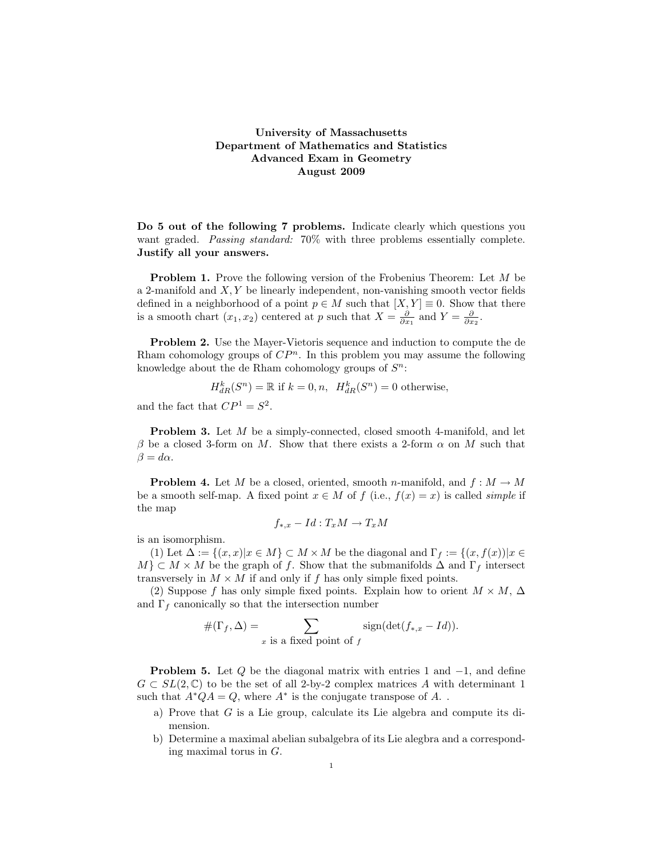## University of Massachusetts Department of Mathematics and Statistics Advanced Exam in Geometry August 2009

Do 5 out of the following 7 problems. Indicate clearly which questions you want graded. Passing standard: 70% with three problems essentially complete. Justify all your answers.

**Problem 1.** Prove the following version of the Frobenius Theorem: Let M be a 2-manifold and  $X, Y$  be linearly independent, non-vanishing smooth vector fields defined in a neighborhood of a point  $p \in M$  such that  $[X, Y] \equiv 0$ . Show that there is a smooth chart  $(x_1, x_2)$  centered at p such that  $X = \frac{\partial}{\partial x_1}$  and  $Y = \frac{\partial}{\partial x_2}$ .

Problem 2. Use the Mayer-Vietoris sequence and induction to compute the de Rham cohomology groups of  $\mathbb{CP}^n$ . In this problem you may assume the following knowledge about the de Rham cohomology groups of  $S<sup>n</sup>$ :

$$
H_{dR}^k(S^n) = \mathbb{R}
$$
 if  $k = 0, n$ ,  $H_{dR}^k(S^n) = 0$  otherwise,  
Let  $CD^1 = S^2$ 

and the fact that  $CP^1 = S^2$ .

Problem 3. Let M be a simply-connected, closed smooth 4-manifold, and let  $\beta$  be a closed 3-form on M. Show that there exists a 2-form  $\alpha$  on M such that  $\beta = d\alpha$ .

**Problem 4.** Let M be a closed, oriented, smooth n-manifold, and  $f : M \to M$ be a smooth self-map. A fixed point  $x \in M$  of  $f$  (i.e.,  $f(x) = x$ ) is called *simple* if the map

$$
f_{*,x} - Id: T_xM \to T_xM
$$

is an isomorphism.

(1) Let  $\Delta := \{(x, x) | x \in M\} \subset M \times M$  be the diagonal and  $\Gamma_f := \{(x, f(x)) | x \in$  $M$   $\subset$   $M \times M$  be the graph of f. Show that the submanifolds  $\Delta$  and  $\Gamma_f$  intersect transversely in  $M \times M$  if and only if f has only simple fixed points.

(2) Suppose f has only simple fixed points. Explain how to orient  $M \times M$ ,  $\Delta$ and  $\Gamma_f$  canonically so that the intersection number

$$
\#(\Gamma_f, \Delta) = \sum_{x \text{ is a fixed point of } f} \text{sign}(\det(f_{*,x} - Id)).
$$

**Problem 5.** Let  $Q$  be the diagonal matrix with entries 1 and  $-1$ , and define  $G \subset SL(2,\mathbb{C})$  to be the set of all 2-by-2 complex matrices A with determinant 1 such that  $A^*QA = Q$ , where  $A^*$  is the conjugate transpose of A...

- a) Prove that G is a Lie group, calculate its Lie algebra and compute its dimension.
- b) Determine a maximal abelian subalgebra of its Lie alegbra and a corresponding maximal torus in G.